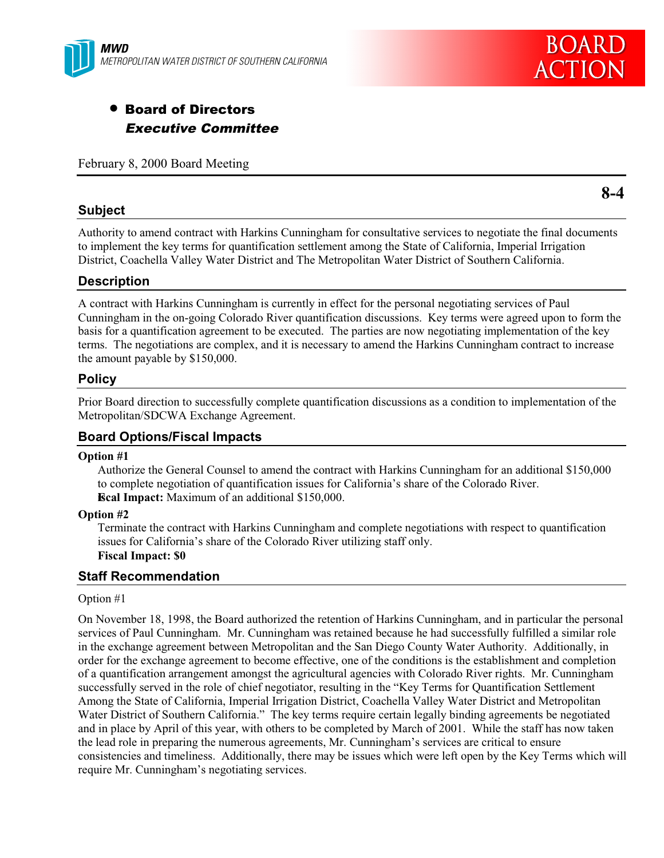

# • Board of Directors Executive Committee

February 8, 2000 Board Meeting

## **Subject**

Authority to amend contract with Harkins Cunningham for consultative services to negotiate the final documents to implement the key terms for quantification settlement among the State of California, Imperial Irrigation District, Coachella Valley Water District and The Metropolitan Water District of Southern California.

## **Description**

A contract with Harkins Cunningham is currently in effect for the personal negotiating services of Paul Cunningham in the on-going Colorado River quantification discussions. Key terms were agreed upon to form the basis for a quantification agreement to be executed. The parties are now negotiating implementation of the key terms. The negotiations are complex, and it is necessary to amend the Harkins Cunningham contract to increase the amount payable by \$150,000.

## **Policy**

Prior Board direction to successfully complete quantification discussions as a condition to implementation of the Metropolitan/SDCWA Exchange Agreement.

## **Board Options/Fiscal Impacts**

#### **Option #1**

Authorize the General Counsel to amend the contract with Harkins Cunningham for an additional \$150,000 to complete negotiation of quantification issues for California's share of the Colorado River. **Fiscal Impact:** Maximum of an additional \$150,000.

#### **Option #2**

Terminate the contract with Harkins Cunningham and complete negotiations with respect to quantification issues for California's share of the Colorado River utilizing staff only. **Fiscal Impact: \$0**

#### **Staff Recommendation**

#### Option #1

On November 18, 1998, the Board authorized the retention of Harkins Cunningham, and in particular the personal services of Paul Cunningham. Mr. Cunningham was retained because he had successfully fulfilled a similar role in the exchange agreement between Metropolitan and the San Diego County Water Authority. Additionally, in order for the exchange agreement to become effective, one of the conditions is the establishment and completion of a quantification arrangement amongst the agricultural agencies with Colorado River rights. Mr. Cunningham successfully served in the role of chief negotiator, resulting in the "Key Terms for Quantification Settlement Among the State of California, Imperial Irrigation District, Coachella Valley Water District and Metropolitan Water District of Southern California." The key terms require certain legally binding agreements be negotiated and in place by April of this year, with others to be completed by March of 2001. While the staff has now taken the lead role in preparing the numerous agreements, Mr. Cunningham's services are critical to ensure consistencies and timeliness. Additionally, there may be issues which were left open by the Key Terms which will require Mr. Cunningham's negotiating services.

**8-4**